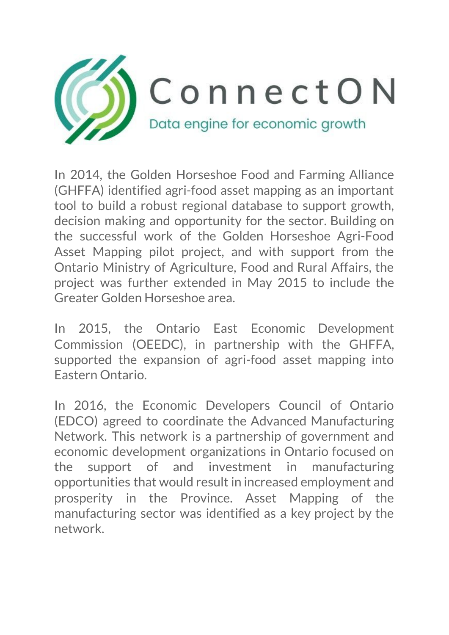

In 2014, the Golden Horseshoe Food and Farming Alliance (GHFFA) identified agri-food asset mapping as an important tool to build a robust regional database to support growth, decision making and opportunity for the sector. Building on the successful work of the Golden Horseshoe Agri-Food Asset Mapping pilot project, and with support from the Ontario Ministry of Agriculture, Food and Rural Affairs, the project was further extended in May 2015 to include the Greater Golden Horseshoe area.

In 2015, the Ontario East Economic Development Commission (OEEDC), in partnership with the GHFFA, supported the expansion of agri-food asset mapping into Eastern Ontario.

In 2016, the Economic Developers Council of Ontario (EDCO) agreed to coordinate the Advanced Manufacturing Network. This network is a partnership of government and economic development organizations in Ontario focused on the support of and investment in manufacturing opportunities that would result in increased employment and prosperity in the Province. Asset Mapping of the manufacturing sector was identified as a key project by the network.